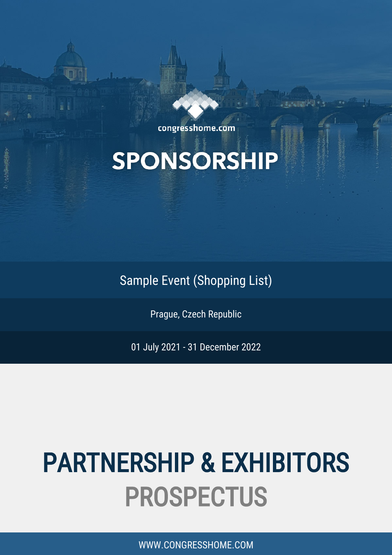congresshome.com

# **SPONSORSHIP**

Sample Event (Shopping List)

Prague, Czech Republic

01 July 2021 - 31 December 2022

# PARTNERSHIP & EXHIBITORS PROSPECTUS

WWW.CONGRESSHOME.COM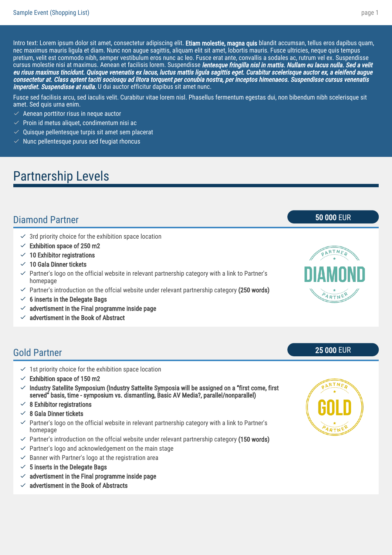Intro text: Lorem ipsum dolor sit amet, consectetur adipiscing elit. Etiam molestie, magna quis blandit accumsan, tellus eros dapibus quam, nec maximus mauris ligula et diam. Nunc non augue sagittis, aliquam elit sit amet, lobortis mauris. Fusce ultricies, neque quis tempus pretium, velit est commodo nibh, semper vestibulum eros nunc ac leo. Fusce erat ante, convallis a sodales ac, rutrum vel ex. Suspendisse cursus molestie nisi at maximus. Aenean et facilisis lorem. Suspendisse lentesque fringilla nisl in mattis. Nullam eu lacus nulla. Sed a velit eu risus maximus tincidunt. Quisque venenatis ex lacus, luctus mattis ligula sagittis eget. Curabitur scelerisque auctor ex, a eleifend augue consectetur at. Class aptent taciti sociosqu ad litora torquent per conubia nostra, per inceptos himenaeos. Suspendisse cursus venenatis imperdiet. Suspendisse at nulla. U dui auctor efficitur dapibus sit amet nunc.

Fusce sed facilisis arcu, sed iaculis velit. Curabitur vitae lorem nisl. Phasellus fermentum egestas dui, non bibendum nibh scelerisque sit amet. Sed quis urna enim.

- $\vee$  Aenean porttitor risus in neque auctor
- $\vee$  Proin id metus aliquet, condimentum nisi ac
- $\vee$  Quisque pellentesque turpis sit amet sem placerat
- $\vee$  Nunc pellentesque purus sed feugiat rhoncus

### Partnership Levels

#### Diamond Partner 50 000 EUR

- $\checkmark$  3rd priority choice for the exhibition space location
- $\vee$  Exhibition space of 250 m2
- $\sim$  10 Exhibitor registrations
- $\vee$  10 Gala Dinner tickets
- $\checkmark$  Partner's logo on the official website in relevant partnership category with a link to Partner's homepage
- $\vee$  Partner's introduction on the offcial website under relevant partnership category (250 words)
- $\times$  6 inserts in the Delegate Bags
- $\vee$  advertisment in the Final programme inside page
- $\times$  advertisment in the Book of Abstract

#### Gold Partner 25 000 EUR

- $\leq$  1st priority choice for the exhibition space location
- $\vee$  Exhibition space of 150 m2
- $\vee$  Industry Satellite Symposium (Industry Sattelite Symposia will be assigned on a "first come, first served" basis, time - symposium vs. dismantling, Basic AV Media?, parallel/nonparallel)
- $\angle$  8 Exhibitor registrations
- $\angle$  8 Gala Dinner tickets
- $\checkmark$  Partner's logo on the official website in relevant partnership category with a link to Partner's homepage
- $\vee$  Partner's introduction on the offcial website under relevant partnership category (150 words)
- $\vee$  Partner's logo and acknowledgement on the main stage
- $\vee$  Banner with Partner's logo at the registration area
- $\times$  5 inserts in the Delegate Bags
- $\checkmark$  advertisment in the Final programme inside page
- advertisment in the Book of Abstracts



ARTNER

ARTN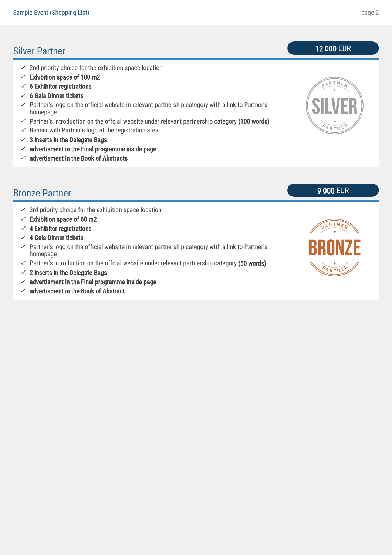#### Silver Partner 12 000 EUR

- $\angle$  2nd priority choice for the exhibition space location
- $\checkmark$  Exhibition space of 100 m2
- $\checkmark$  6 Exhibitor registrations
- $\checkmark$  6 Gala Dinner tickets
- $\checkmark$  Partner's logo on the official website in relevant partnership category with a link to Partner's homepage
- $\vee$  Partner's introduction on the offcial website under relevant partnership category (100 words)
- $\vee$  Banner with Partner's logo at the registration area
- $\checkmark$  3 inserts in the Delegate Bags
- $\checkmark$  advertisment in the Final programme inside page
- $\checkmark$  advertisment in the Book of Abstracts

#### Bronze Partner 9000 EUR

- $\checkmark$  3rd priority choice for the exhibition space location
- $\vee$  Exhibition space of 60 m2
- $\angle$  4 Exhibitor registrations
- $\angle$  4 Gala Dinner tickets
- $\vee$  Partner's logo on the official website in relevant partnership category with a link to Partner's homepage
- $\vee$  Partner's introduction on the offcial website under relevant partnership category (50 words)
- $\angle$  2 inserts in the Delegate Bags
- $\checkmark$  advertisment in the Final programme inside page
- $\vee$  advertisment in the Book of Abstract



# PARTNER ARTNE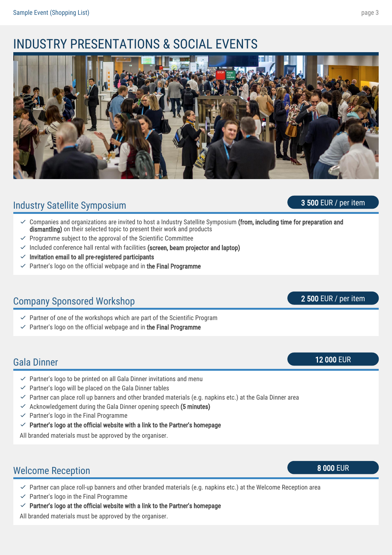### INDUSTRY PRESENTATIONS & SOCIAL EVENTS



#### Industry Satellite Symposium 3 500 EUR / per item

- Companies and organizations are invited to host a Industry Satellite Symposium (from, including time for preparation and dismantling) on their selected topic to present their work and products  $\checkmark$
- $\vee$  Programme subject to the approval of the Scientific Committee
- $\checkmark$  Included conference hall rental with facilities (screen, beam projector and laptop)
- $\vee$  Invitation email to all pre-registered participants
- $\vee$  Partner's logo on the official webpage and in the Final Programme

#### Company Sponsored Workshop 2 500 EUR / per item

- $\vee$  Partner of one of the workshops which are part of the Scientific Program
- $\vee$  Partner's logo on the official webpage and in the Final Programme

#### Gala Dinner 12 000 EUR

- $\vee$  Partner's logo to be printed on all Gala Dinner invitations and menu
- $\vee$  Partner's logo will be placed on the Gala Dinner tables
- $\vee$  Partner can place roll up banners and other branded materials (e.g. napkins etc.) at the Gala Dinner area
- $\checkmark$  Acknowledgement during the Gala Dinner opening speech (5 minutes)
- $\vee$  Partner's logo in the Final Programme
- $\vee$  Partner's logo at the official website with a link to the Partner's homepage

All branded materials must be approved by the organiser.

### Welcome Reception 8 000 EUR

- $\vee$  Partner can place roll-up banners and other branded materials (e.g. napkins etc.) at the Welcome Reception area
- $\checkmark$  Partner's logo in the Final Programme
- $\vee$  Partner's logo at the official website with a link to the Partner's homepage

All branded materials must be approved by the organiser.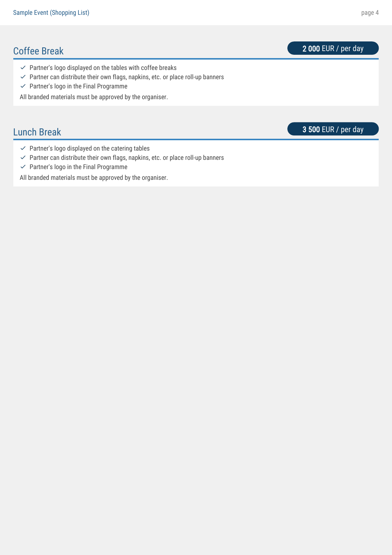### Coffee Break 2000 EUR / per day

- $\checkmark$  Partner's logo displayed on the tables with coffee breaks
- $\vee$  Partner can distribute their own flags, napkins, etc. or place roll-up banners
- $\checkmark$  Partner's logo in the Final Programme

All branded materials must be approved by the organiser.

**Lunch Break** 3 500 EUR / per day

- $\checkmark$  Partner's logo displayed on the catering tables
- $\vee$  Partner can distribute their own flags, napkins, etc. or place roll-up banners
- $\checkmark$  Partner's logo in the Final Programme

All branded materials must be approved by the organiser.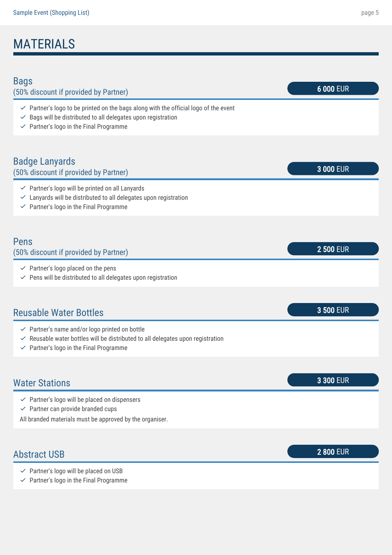# MATERIALS

| <b>Bags</b><br>(50% discount if provided by Partner)                                                                                                                                                                                 | 6 000 EUR        |
|--------------------------------------------------------------------------------------------------------------------------------------------------------------------------------------------------------------------------------------|------------------|
| $\checkmark$ Partner's logo to be printed on the bags along with the official logo of the event<br>Bags will be distributed to all delegates upon registration<br>$\checkmark$<br>$\checkmark$ Partner's logo in the Final Programme |                  |
|                                                                                                                                                                                                                                      |                  |
| <b>Badge Lanyards</b><br>(50% discount if provided by Partner)                                                                                                                                                                       | 3 000 EUR        |
| $\checkmark$ Partner's logo will be printed on all Lanyards<br>$\checkmark$ Lanyards will be distributed to all delegates upon registration<br>$\checkmark$ Partner's logo in the Final Programme                                    |                  |
|                                                                                                                                                                                                                                      |                  |
| Pens<br>(50% discount if provided by Partner)                                                                                                                                                                                        | <b>2 500 EUR</b> |
| $\checkmark$ Partner's logo placed on the pens<br>$\checkmark$ Pens will be distributed to all delegates upon registration                                                                                                           |                  |
|                                                                                                                                                                                                                                      |                  |
| <b>Reusable Water Bottles</b>                                                                                                                                                                                                        | 3 500 EUR        |
| $\checkmark$ Partner's name and/or logo printed on bottle<br>$\checkmark$ Reusable water bottles will be distributed to all delegates upon registration<br>$\checkmark$ Partner's logo in the Final Programme                        |                  |
|                                                                                                                                                                                                                                      |                  |
| <b>Water Stations</b>                                                                                                                                                                                                                | 3 300 EUR        |
| $\checkmark$ Partner's logo will be placed on dispensers<br>$\checkmark$ Partner can provide branded cups<br>All branded materials must be approved by the organiser.                                                                |                  |
|                                                                                                                                                                                                                                      |                  |
| <b>Abstract USB</b>                                                                                                                                                                                                                  | <b>2 800 EUR</b> |
| $\checkmark$ Partner's logo will be placed on USB<br>$\checkmark$ Partner's logo in the Final Programme                                                                                                                              |                  |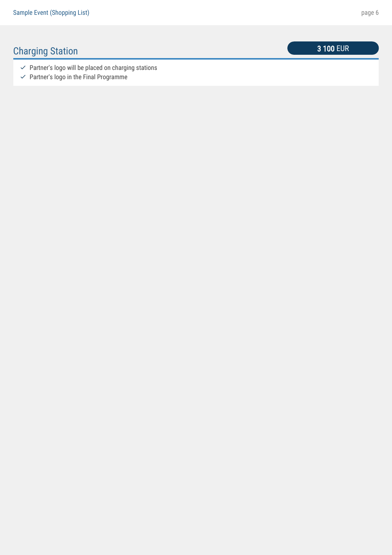## **Charging Station** 3 100 EUR

- $\checkmark$  Partner's logo will be placed on charging stations
- $\checkmark$  Partner's logo in the Final Programme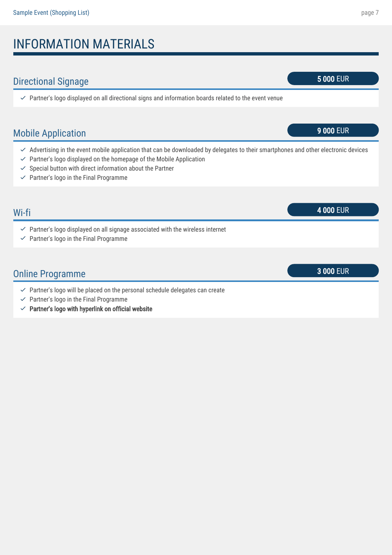# INFORMATION MATERIALS

### Directional Signage 5 000 EUR

 $\vee$  Partner's logo displayed on all directional signs and information boards related to the event venue

### Mobile Application **9 000 EUR**

- $\vee$  Advertising in the event mobile application that can be downloaded by delegates to their smartphones and other electronic devices
- $\vee$  Partner's logo displayed on the homepage of the Mobile Application
- $\checkmark$  Special button with direct information about the Partner
- $\checkmark$  Partner's logo in the Final Programme

# Wi-fi 4 000 EUR  $\vee$  Partner's logo displayed on all signage associated with the wireless internet  $\checkmark$  Partner's logo in the Final Programme Online Programme 3 000 EUR  $\vee$  Partner's logo will be placed on the personal schedule delegates can create

- $\checkmark$  Partner's logo in the Final Programme
- $\vee$  Partner's logo with hyperlink on official website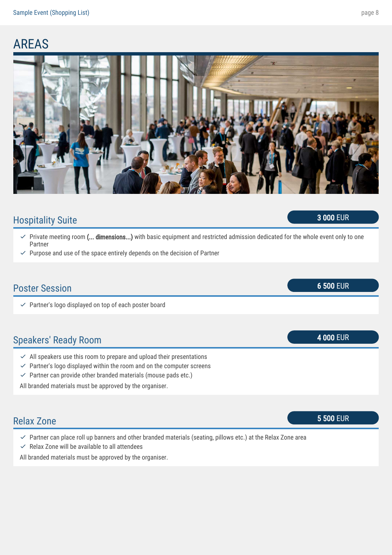## AREAS



### Hospitality Suite 3 000 EUR

- Private meeting room (... dimensions...) with basic equipment and restricted admission dedicated for the whole event only to one Partner  $\checkmark$
- $\vee$  Purpose and use of the space entirely depends on the decision of Partner

# Poster Session 6 600 EUR  $\vee$  Partner's logo displayed on top of each poster board Speakers' Ready Room and the state of the state of the state of the state of the state of the state of the state of the state of the state of the state of the state of the state of the state of the state of the state of th  $\vee$  All speakers use this room to prepare and upload their presentations  $\vee$  Partner's logo displayed within the room and on the computer screens  $\vee$  Partner can provide other branded materials (mouse pads etc.) All branded materials must be approved by the organiser. Relax Zone 5 500 EUR

- $\vee$  Partner can place roll up banners and other branded materials (seating, pillows etc.) at the Relax Zone area
- $\checkmark$  Relax Zone will be available to all attendees

All branded materials must be approved by the organiser.